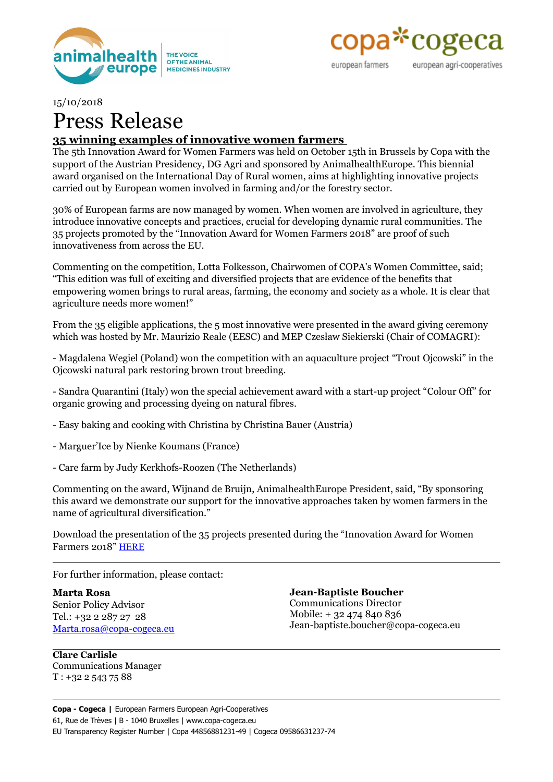

## \*იით european farmers european agri-cooperatives

## 15/10/2018 Press Release

## **35 winning examples of innovative women farmers**

The 5th Innovation Award for Women Farmers was held on October 15th in Brussels by Copa with the support of the Austrian Presidency, DG Agri and sponsored by AnimalhealthEurope. This biennial award organised on the International Day of Rural women, aims at highlighting innovative projects carried out by European women involved in farming and/or the forestry sector.

30% of European farms are now managed by women. When women are involved in agriculture, they introduce innovative concepts and practices, crucial for developing dynamic rural communities. The 35 projects promoted by the "Innovation Award for Women Farmers 2018" are proof of such innovativeness from across the EU.

Commenting on the competition, Lotta Folkesson, Chairwomen of COPA's Women Committee, said; "This edition was full of exciting and diversified projects that are evidence of the benefits that empowering women brings to rural areas, farming, the economy and society as a whole. It is clear that agriculture needs more women!"

From the 35 eligible applications, the 5 most innovative were presented in the award giving ceremony which was hosted by Mr. Maurizio Reale (EESC) and MEP Czesław Siekierski (Chair of COMAGRI):

- Magdalena Wegiel (Poland) won the competition with an aquaculture project "Trout Ojcowski" in the Ojcowski natural park restoring brown trout breeding.

- Sandra Quarantini (Italy) won the special achievement award with a start-up project "Colour Off" for organic growing and processing dyeing on natural fibres.

- Easy baking and cooking with Christina by Christina Bauer (Austria)
- Marguer'Ice by Nienke Koumans (France)
- Care farm by Judy Kerkhofs-Roozen (The Netherlands)

Commenting on the award, Wijnand de Bruijn, AnimalhealthEurope President, said, "By sponsoring this award we demonstrate our support for the innovative approaches taken by women farmers in the name of agricultural diversification."

Download the presentation of the 35 projects presented during the "Innovation Award for Women Farmers 2018" [HERE](http://www.copa-cogeca.eu/img/user/files/RD/R_Innovation_Awards_Women_Farmers_2018.pdf)

For further information, please contact:

**Marta Rosa** Senior Policy Advisor Tel.: +32 2 287 27 28 [Marta.rosa@copa-cogeca.eu](mailto:Marta.rosa@copa-cogeca.eu) **Jean-Baptiste Boucher** Communications Director Mobile: + 32 474 840 836 Jean-baptiste.boucher@copa-cogeca.eu

**Clare Carlisle** Communications Manager  $T: +322 543 7588$